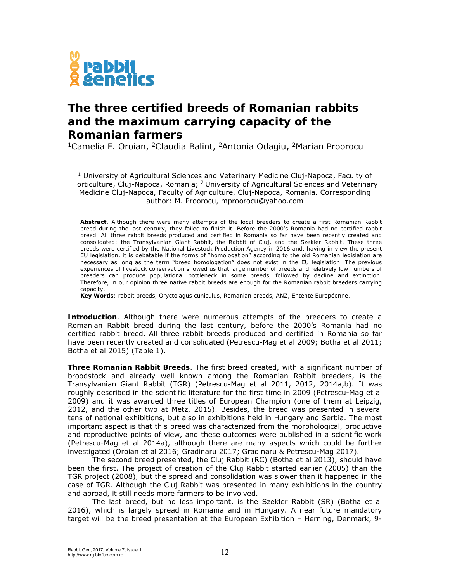

### **The three certified breeds of Romanian rabbits and the maximum carrying capacity of the Romanian farmers**

1Camelia F. Oroian, 2Claudia Balint, 2Antonia Odagiu, 2Marian Proorocu

<sup>1</sup> University of Agricultural Sciences and Veterinary Medicine Cluj-Napoca, Faculty of Horticulture, Cluj-Napoca, Romania; <sup>2</sup> University of Agricultural Sciences and Veterinary Medicine Cluj-Napoca, Faculty of Agriculture, Cluj-Napoca, Romania. Corresponding author: M. Proorocu, mproorocu@yahoo.com

**Abstract**. Although there were many attempts of the local breeders to create a first Romanian Rabbit breed during the last century, they failed to finish it. Before the 2000's Romania had no certified rabbit breed. All three rabbit breeds produced and certified in Romania so far have been recently created and consolidated: the Transylvanian Giant Rabbit, the Rabbit of Cluj, and the Szekler Rabbit. These three breeds were certified by the National Livestock Production Agency in 2016 and, having in view the present EU legislation, it is debatable if the forms of "homologation" according to the old Romanian legislation are necessary as long as the term "breed homologation" does not exist in the EU legislation. The previous experiences of livestock conservation showed us that large number of breeds and relatively low numbers of breeders can produce populational bottleneck in some breeds, followed by decline and extinction. Therefore, in our opinion three native rabbit breeds are enough for the Romanian rabbit breeders carrying capacity.

**Key Words**: rabbit breeds, *Oryctolagus cuniculus*, Romanian breeds, ANZ, Entente Européenne.

**Introduction**. Although there were numerous attempts of the breeders to create a Romanian Rabbit breed during the last century, before the 2000's Romania had no certified rabbit breed. All three rabbit breeds produced and certified in Romania so far have been recently created and consolidated (Petrescu-Mag et al 2009; Botha et al 2011; Botha et al 2015) (Table 1).

**Three Romanian Rabbit Breeds**. The first breed created, with a significant number of broodstock and already well known among the Romanian Rabbit breeders, is the Transylvanian Giant Rabbit (TGR) (Petrescu-Mag et al 2011, 2012, 2014a,b). It was roughly described in the scientific literature for the first time in 2009 (Petrescu-Mag et al 2009) and it was awarded three titles of European Champion (one of them at Leipzig, 2012, and the other two at Metz, 2015). Besides, the breed was presented in several tens of national exhibitions, but also in exhibitions held in Hungary and Serbia. The most important aspect is that this breed was characterized from the morphological, productive and reproductive points of view, and these outcomes were published in a scientific work (Petrescu-Mag et al 2014a), although there are many aspects which could be further investigated (Oroian et al 2016; Gradinaru 2017; Gradinaru & Petrescu-Mag 2017).

 The second breed presented, the Cluj Rabbit (RC) (Botha et al 2013), should have been the first. The project of creation of the Cluj Rabbit started earlier (2005) than the TGR project (2008), but the spread and consolidation was slower than it happened in the case of TGR. Although the Cluj Rabbit was presented in many exhibitions in the country and abroad, it still needs more farmers to be involved.

The last breed, but no less important, is the Szekler Rabbit (SR) (Botha et al 2016), which is largely spread in Romania and in Hungary. A near future mandatory target will be the breed presentation at the European Exhibition – Herning, Denmark, 9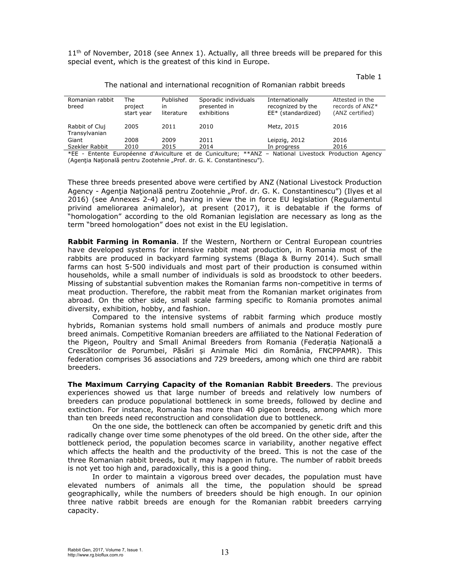$11<sup>th</sup>$  of November, 2018 (see Annex 1). Actually, all three breeds will be prepared for this special event, which is the greatest of this kind in Europe.

Table 1

| The national and international recognition of Romanian rabbit breeds |  |  |
|----------------------------------------------------------------------|--|--|
|----------------------------------------------------------------------|--|--|

| Romanian rabbit<br>breed        | The<br>project<br>start year | Published<br>in<br>literature | Sporadic individuals<br>presented in<br>exhibitions            | Internationally<br>recognized by the<br>EE* (standardized) | Attested in the<br>records of ANZ*<br>(ANZ certified) |  |
|---------------------------------|------------------------------|-------------------------------|----------------------------------------------------------------|------------------------------------------------------------|-------------------------------------------------------|--|
| Rabbit of Cluj<br>Transylvanian | 2005                         | 2011                          | 2010                                                           | Metz, 2015                                                 | 2016                                                  |  |
| Giant                           | 2008                         | 2009                          | 2011                                                           | Leipzig, 2012                                              | 2016                                                  |  |
| Szekler Rabbit                  | 2010                         | 2015                          | 2014                                                           | In progress                                                | 2016                                                  |  |
|                                 |                              |                               | *FF - Entente Furonéenne d'Aviculture et de Cuniculture: **ANZ | $\overline{\phantom{a}}$                                   | National Livestock Production Agency                  |  |

lational Livestock (Agenția Națională pentru Zootehnie "Prof. dr. G. K. Constantinescu").

These three breeds presented above were certified by ANZ (National Livestock Production Agency - Agentia Natională pentru Zootehnie "Prof. dr. G. K. Constantinescu") (Ilyes et al 2016) (see Annexes 2-4) and, having in view the in force EU legislation (Regulamentul privind ameliorarea animalelor), at present (2017), it is debatable if the forms of "homologation" according to the old Romanian legislation are necessary as long as the term "breed homologation" does not exist in the EU legislation.

**Rabbit Farming in Romania**. If the Western, Northern or Central European countries have developed systems for intensive rabbit meat production, in Romania most of the rabbits are produced in backyard farming systems (Blaga & Burny 2014). Such small farms can host 5-500 individuals and most part of their production is consumed within households, while a small number of individuals is sold as broodstock to other beeders. Missing of substantial subvention makes the Romanian farms non-competitive in terms of meat production. Therefore, the rabbit meat from the Romanian market originates from abroad. On the other side, small scale farming specific to Romania promotes animal diversity, exhibition, hobby, and fashion.

 Compared to the intensive systems of rabbit farming which produce mostly hybrids, Romanian systems hold small numbers of animals and produce mostly pure breed animals. Competitive Romanian breeders are affiliated to the National Federation of the Pigeon, Poultry and Small Animal Breeders from Romania (Federația Națională a Crescătorilor de Porumbei, Păsări și Animale Mici din România, FNCPPAMR). This federation comprises 36 associations and 729 breeders, among which one third are rabbit breeders.

**The Maximum Carrying Capacity of the Romanian Rabbit Breeders**. The previous experiences showed us that large number of breeds and relatively low numbers of breeders can produce populational bottleneck in some breeds, followed by decline and extinction. For instance, Romania has more than 40 pigeon breeds, among which more than ten breeds need reconstruction and consolidation due to bottleneck.

On the one side, the bottleneck can often be accompanied by genetic drift and this radically change over time some phenotypes of the old breed. On the other side, after the bottleneck period, the population becomes scarce in variability, another negative effect which affects the health and the productivity of the breed. This is not the case of the three Romanian rabbit breeds, but it may happen in future. The number of rabbit breeds is not yet too high and, paradoxically, this is a good thing.

In order to maintain a vigorous breed over decades, the population must have elevated numbers of animals all the time, the population should be spread geographically, while the numbers of breeders should be high enough. In our opinion three native rabbit breeds are enough for the Romanian rabbit breeders carrying capacity.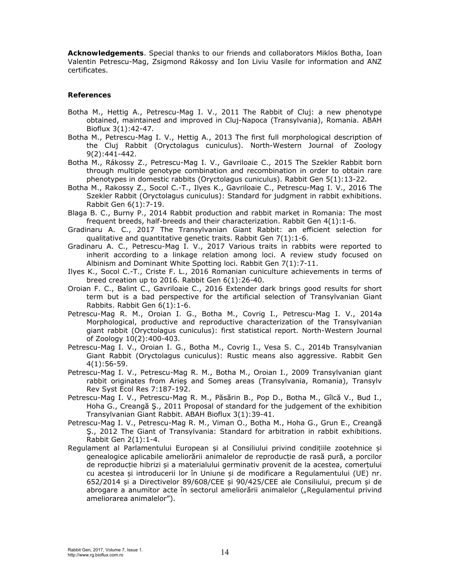**Acknowledgements**. Special thanks to our friends and collaborators Miklos Botha, Ioan Valentin Petrescu-Mag, Zsigmond Rákossy and Ion Liviu Vasile for information and ANZ certificates.

#### **References**

- Botha M., Hettig A., Petrescu-Mag I. V., 2011 The Rabbit of Cluj: a new phenotype obtained, maintained and improved in Cluj-Napoca (Transylvania), Romania. ABAH Bioflux 3(1):42-47.
- Botha M., Petrescu-Mag I. V., Hettig A., 2013 The first full morphological description of the Cluj Rabbit (Oryctolagus cuniculus). North-Western Journal of Zoology 9(2):441-442.
- Botha M., Rákossy Z., Petrescu-Mag I. V., Gavriloaie C., 2015 The Szekler Rabbit born through multiple genotype combination and recombination in order to obtain rare phenotypes in domestic rabbits (Oryctolagus cuniculus). Rabbit Gen 5(1):13-22.
- Botha M., Rakossy Z., Socol C.-T., Ilyes K., Gavriloaie C., Petrescu-Mag I. V., 2016 The Szekler Rabbit (Oryctolagus cuniculus): Standard for judgment in rabbit exhibitions. Rabbit Gen 6(1):7-19.
- Blaga B. C., Burny P., 2014 Rabbit production and rabbit market in Romania: The most frequent breeds, half-breeds and their characterization. Rabbit Gen 4(1):1-6.
- Gradinaru A. C., 2017 The Transylvanian Giant Rabbit: an efficient selection for qualitative and quantitative genetic traits. Rabbit Gen 7(1):1-6.
- Gradinaru A. C., Petrescu-Mag I. V., 2017 Various traits in rabbits were reported to inherit according to a linkage relation among loci. A review study focused on Albinism and Dominant White Spotting loci. Rabbit Gen 7(1):7-11.
- Ilyes K., Socol C.-T., Criste F. L., 2016 Romanian cuniculture achievements in terms of breed creation up to 2016. Rabbit Gen 6(1):26-40.
- Oroian F. C., Balint C., Gavriloaie C., 2016 Extender dark brings good results for short term but is a bad perspective for the artificial selection of Transylvanian Giant Rabbits. Rabbit Gen 6(1):1-6.
- Petrescu-Mag R. M., Oroian I. G., Botha M., Covrig I., Petrescu-Mag I. V., 2014a Morphological, productive and reproductive characterization of the Transylvanian giant rabbit (Oryctolagus cuniculus): first statistical report. North-Western Journal of Zoology 10(2):400-403.
- Petrescu-Mag I. V., Oroian I. G., Botha M., Covrig I., Vesa S. C., 2014b Transylvanian Giant Rabbit (Oryctolagus cuniculus): Rustic means also aggressive. Rabbit Gen 4(1):56-59.
- Petrescu-Mag I. V., Petrescu-Mag R. M., Botha M., Oroian I., 2009 Transylvanian giant rabbit originates from Arieş and Someş areas (Transylvania, Romania), Transylv Rev Syst Ecol Res 7:187-192.
- Petrescu-Mag I. V., Petrescu-Mag R. M., Păsărin B., Pop D., Botha M., Gîlcă V., Bud I., Hoha G., Creangă Ş., 2011 Proposal of standard for the judgement of the exhibition Transylvanian Giant Rabbit. ABAH Bioflux 3(1):39-41.
- Petrescu-Mag I. V., Petrescu-Mag R. M., Viman O., Botha M., Hoha G., Grun E., Creangă Ş., 2012 The Giant of Transylvania: Standard for arbitration in rabbit exhibitions. Rabbit Gen 2(1):1-4.
- Regulament al Parlamentului European și al Consiliului privind condițiile zootehnice și genealogice aplicabile ameliorării animalelor de reproducție de rasă pură, a porcilor de reproducție hibrizi și a materialului germinativ provenit de la acestea, comerțului cu acestea și introducerii lor în Uniune și de modificare a Regulamentului (UE) nr. 652/2014 și a Directivelor 89/608/CEE și 90/425/CEE ale Consiliului, precum și de abrogare a anumitor acte în sectorul ameliorării animalelor ("Regulamentul privind ameliorarea animalelor").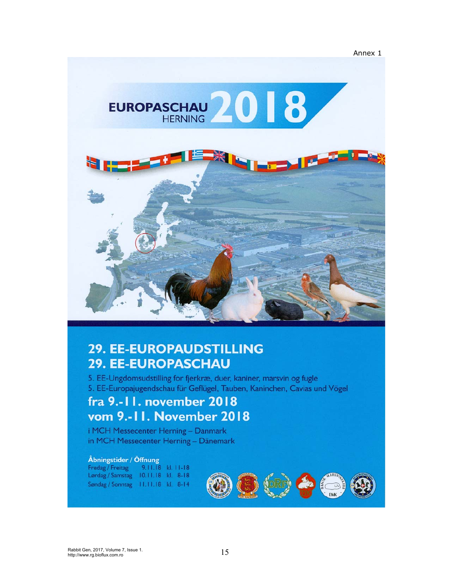



# **29. EE-EUROPAUDSTILLING 29. EE-EUROPASCHAU**

5. EE-Ungdomsudstilling for fjerkræ, duer, kaniner, marsvin og fugle 5. EE-Europajugendschau für Geflügel, Tauben, Kaninchen, Cavias und Vögel

## fra 9.-11. november 2018 vom 9.-11. November 2018

i MCH Messecenter Herning - Danmark in MCH Messecenter Herning - Dänemark

#### Åbningstider / Öffnung

Fredag / Freitag 9.11.18 kl. 11-18 Lørdag / Samstag 10.11.18 kl. 8-18 Søndag / Sonntag 11.11.18 kl. 8-14

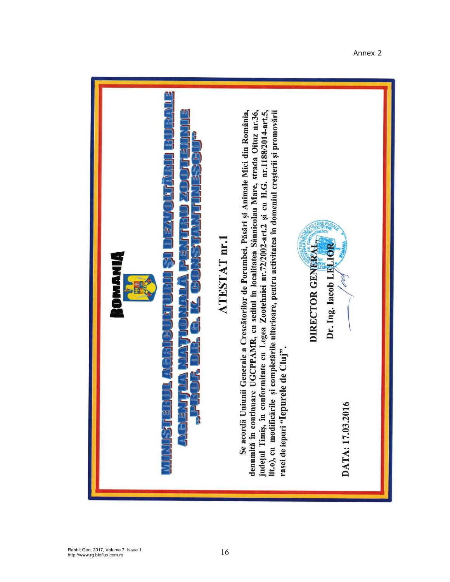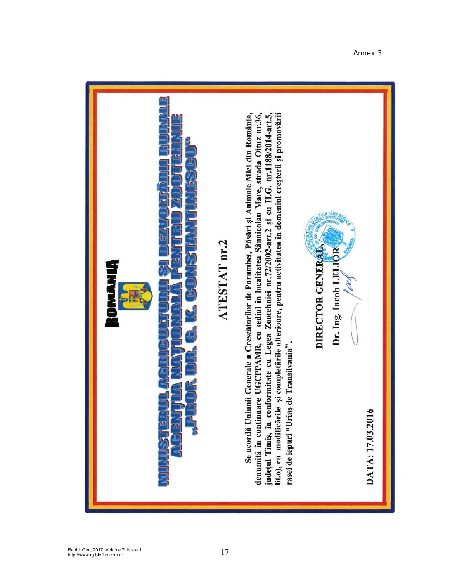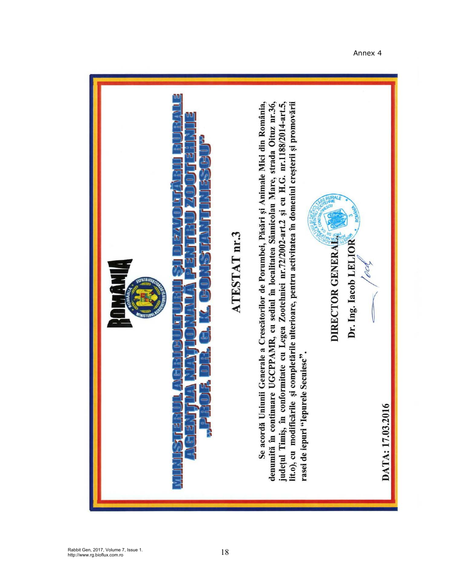